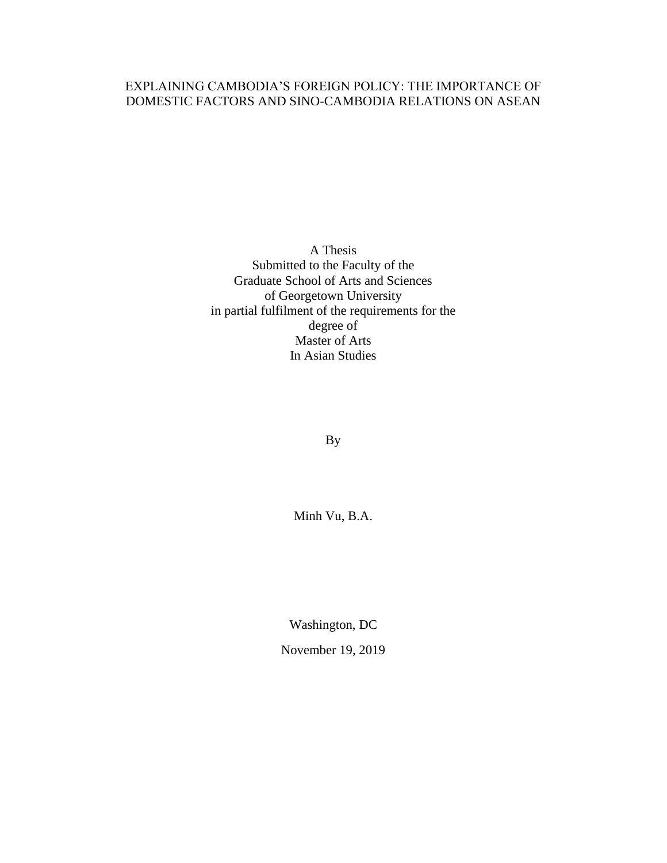# EXPLAINING CAMBODIA'S FOREIGN POLICY: THE IMPORTANCE OF DOMESTIC FACTORS AND SINO-CAMBODIA RELATIONS ON ASEAN

A Thesis Submitted to the Faculty of the Graduate School of Arts and Sciences of Georgetown University in partial fulfilment of the requirements for the degree of Master of Arts In Asian Studies

By

Minh Vu, B.A.

Washington, DC

November 19, 2019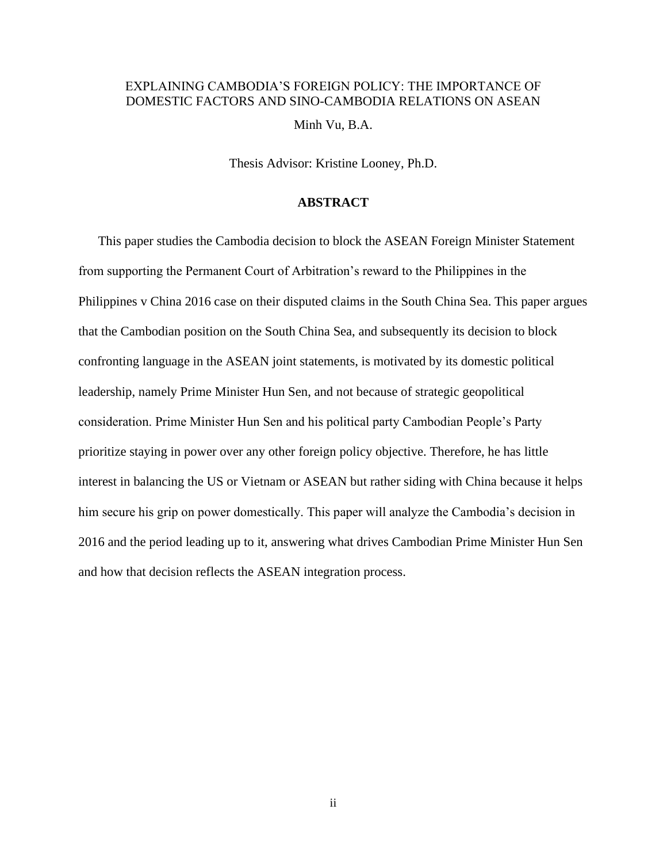# EXPLAINING CAMBODIA'S FOREIGN POLICY: THE IMPORTANCE OF DOMESTIC FACTORS AND SINO-CAMBODIA RELATIONS ON ASEAN Minh Vu, B.A.

Thesis Advisor: Kristine Looney, Ph.D.

#### **ABSTRACT**

This paper studies the Cambodia decision to block the ASEAN Foreign Minister Statement from supporting the Permanent Court of Arbitration's reward to the Philippines in the Philippines v China 2016 case on their disputed claims in the South China Sea. This paper argues that the Cambodian position on the South China Sea, and subsequently its decision to block confronting language in the ASEAN joint statements, is motivated by its domestic political leadership, namely Prime Minister Hun Sen, and not because of strategic geopolitical consideration. Prime Minister Hun Sen and his political party Cambodian People's Party prioritize staying in power over any other foreign policy objective. Therefore, he has little interest in balancing the US or Vietnam or ASEAN but rather siding with China because it helps him secure his grip on power domestically. This paper will analyze the Cambodia's decision in 2016 and the period leading up to it, answering what drives Cambodian Prime Minister Hun Sen and how that decision reflects the ASEAN integration process.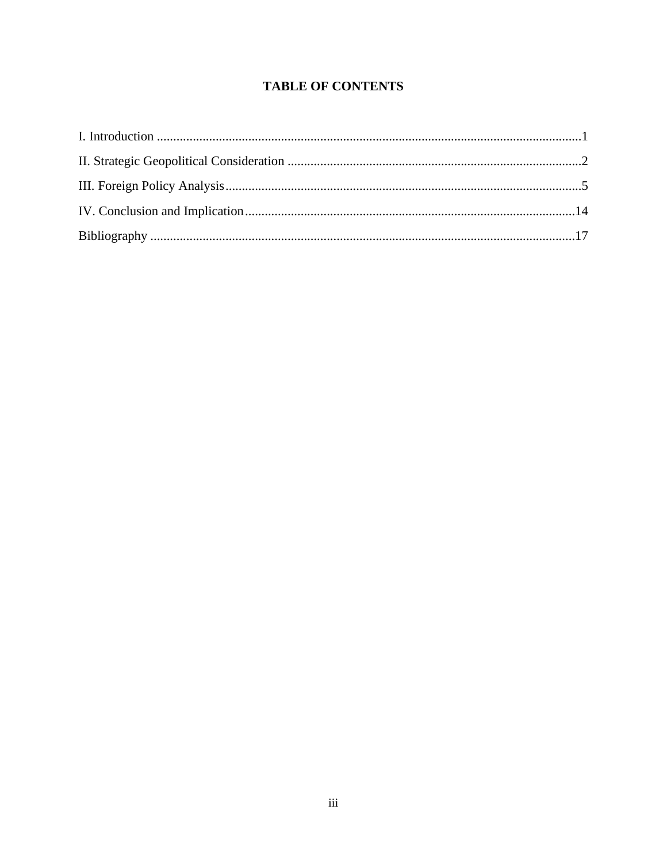# **TABLE OF CONTENTS**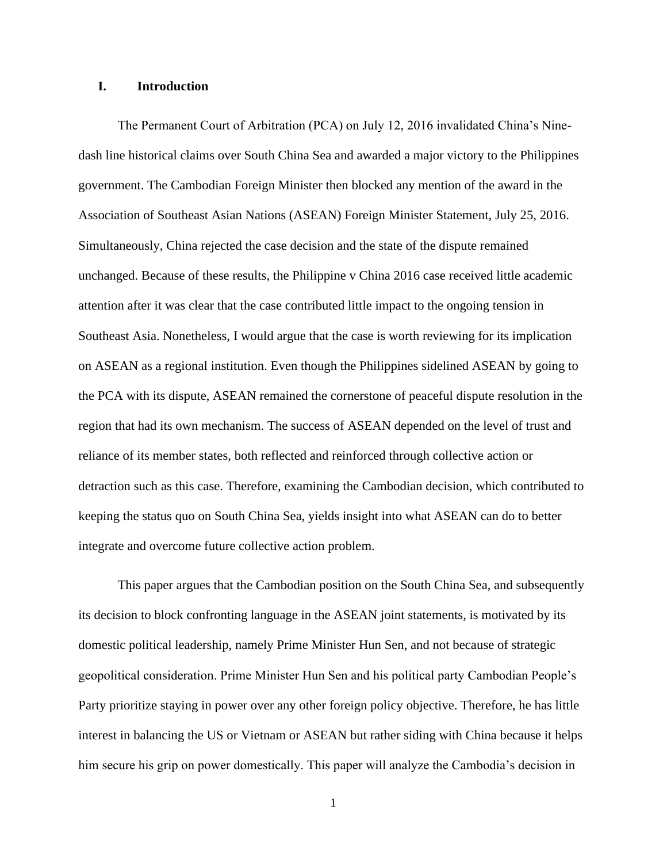### **I. Introduction**

The Permanent Court of Arbitration (PCA) on July 12, 2016 invalidated China's Ninedash line historical claims over South China Sea and awarded a major victory to the Philippines government. The Cambodian Foreign Minister then blocked any mention of the award in the Association of Southeast Asian Nations (ASEAN) Foreign Minister Statement, July 25, 2016. Simultaneously, China rejected the case decision and the state of the dispute remained unchanged. Because of these results, the Philippine v China 2016 case received little academic attention after it was clear that the case contributed little impact to the ongoing tension in Southeast Asia. Nonetheless, I would argue that the case is worth reviewing for its implication on ASEAN as a regional institution. Even though the Philippines sidelined ASEAN by going to the PCA with its dispute, ASEAN remained the cornerstone of peaceful dispute resolution in the region that had its own mechanism. The success of ASEAN depended on the level of trust and reliance of its member states, both reflected and reinforced through collective action or detraction such as this case. Therefore, examining the Cambodian decision, which contributed to keeping the status quo on South China Sea, yields insight into what ASEAN can do to better integrate and overcome future collective action problem.

This paper argues that the Cambodian position on the South China Sea, and subsequently its decision to block confronting language in the ASEAN joint statements, is motivated by its domestic political leadership, namely Prime Minister Hun Sen, and not because of strategic geopolitical consideration. Prime Minister Hun Sen and his political party Cambodian People's Party prioritize staying in power over any other foreign policy objective. Therefore, he has little interest in balancing the US or Vietnam or ASEAN but rather siding with China because it helps him secure his grip on power domestically. This paper will analyze the Cambodia's decision in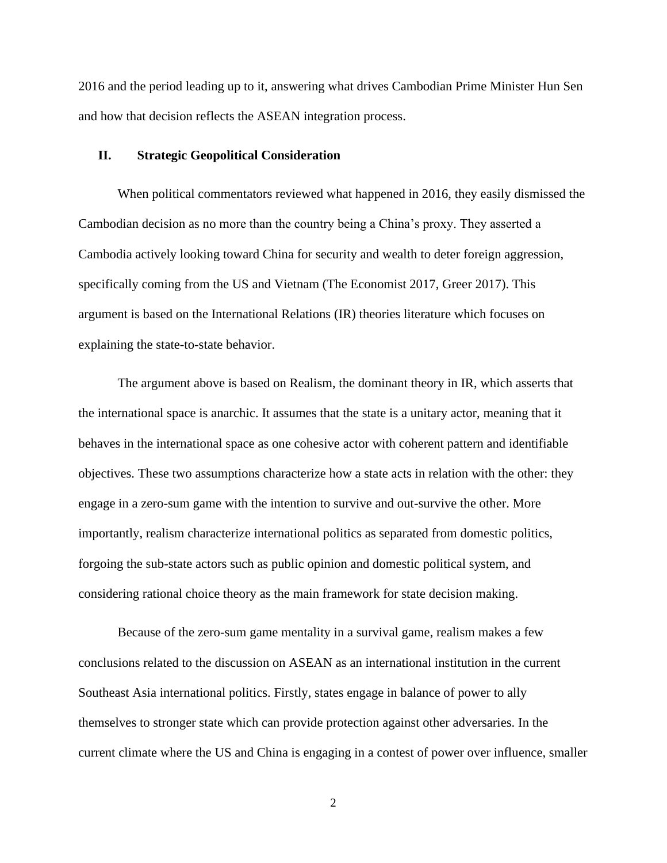2016 and the period leading up to it, answering what drives Cambodian Prime Minister Hun Sen and how that decision reflects the ASEAN integration process.

### **II. Strategic Geopolitical Consideration**

When political commentators reviewed what happened in 2016, they easily dismissed the Cambodian decision as no more than the country being a China's proxy. They asserted a Cambodia actively looking toward China for security and wealth to deter foreign aggression, specifically coming from the US and Vietnam (The Economist 2017, Greer 2017). This argument is based on the International Relations (IR) theories literature which focuses on explaining the state-to-state behavior.

The argument above is based on Realism, the dominant theory in IR, which asserts that the international space is anarchic. It assumes that the state is a unitary actor, meaning that it behaves in the international space as one cohesive actor with coherent pattern and identifiable objectives. These two assumptions characterize how a state acts in relation with the other: they engage in a zero-sum game with the intention to survive and out-survive the other. More importantly, realism characterize international politics as separated from domestic politics, forgoing the sub-state actors such as public opinion and domestic political system, and considering rational choice theory as the main framework for state decision making.

Because of the zero-sum game mentality in a survival game, realism makes a few conclusions related to the discussion on ASEAN as an international institution in the current Southeast Asia international politics. Firstly, states engage in balance of power to ally themselves to stronger state which can provide protection against other adversaries. In the current climate where the US and China is engaging in a contest of power over influence, smaller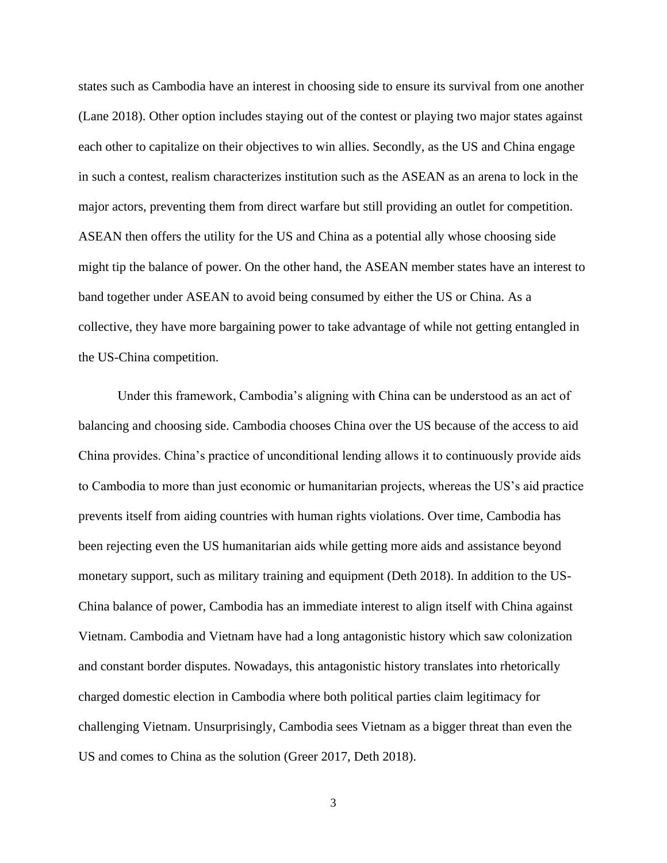states such as Cambodia have an interest in choosing side to ensure its survival from one another (Lane 2018). Other option includes staying out of the contest or playing two major states against each other to capitalize on their objectives to win allies. Secondly, as the US and China engage in such a contest, realism characterizes institution such as the ASEAN as an arena to lock in the major actors, preventing them from direct warfare but still providing an outlet for competition. ASEAN then offers the utility for the US and China as a potential ally whose choosing side might tip the balance of power. On the other hand, the ASEAN member states have an interest to band together under ASEAN to avoid being consumed by either the US or China. As a collective, they have more bargaining power to take advantage of while not getting entangled in the US-China competition.

Under this framework, Cambodia's aligning with China can be understood as an act of balancing and choosing side. Cambodia chooses China over the US because of the access to aid China provides. China's practice of unconditional lending allows it to continuously provide aids to Cambodia to more than just economic or humanitarian projects, whereas the US's aid practice prevents itself from aiding countries with human rights violations. Over time, Cambodia has been rejecting even the US humanitarian aids while getting more aids and assistance beyond monetary support, such as military training and equipment (Deth 2018). In addition to the US-China balance of power, Cambodia has an immediate interest to align itself with China against Vietnam. Cambodia and Vietnam have had a long antagonistic history which saw colonization and constant border disputes. Nowadays, this antagonistic history translates into rhetorically charged domestic election in Cambodia where both political parties claim legitimacy for challenging Vietnam. Unsurprisingly, Cambodia sees Vietnam as a bigger threat than even the US and comes to China as the solution (Greer 2017, Deth 2018).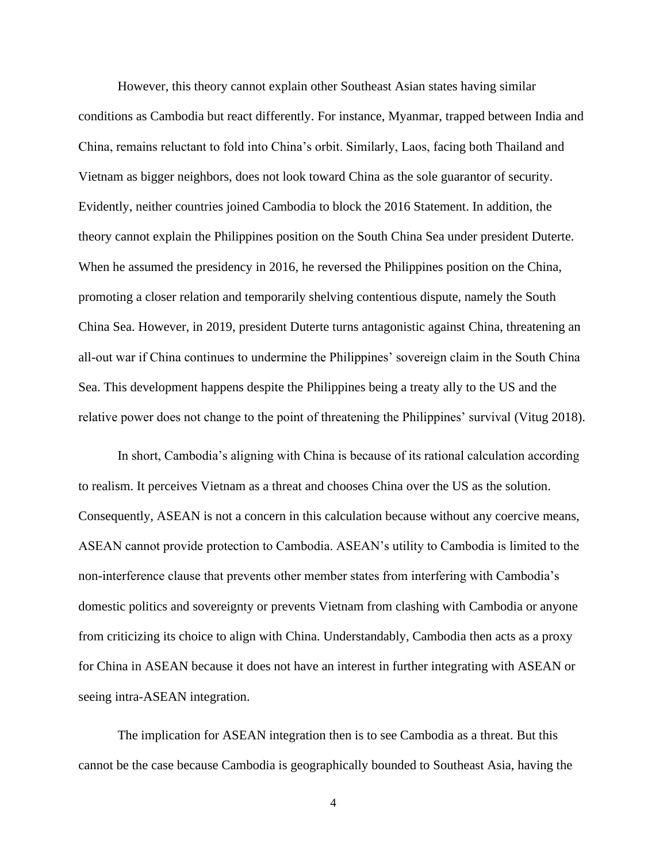However, this theory cannot explain other Southeast Asian states having similar conditions as Cambodia but react differently. For instance, Myanmar, trapped between India and China, remains reluctant to fold into China's orbit. Similarly, Laos, facing both Thailand and Vietnam as bigger neighbors, does not look toward China as the sole guarantor of security. Evidently, neither countries joined Cambodia to block the 2016 Statement. In addition, the theory cannot explain the Philippines position on the South China Sea under president Duterte. When he assumed the presidency in 2016, he reversed the Philippines position on the China, promoting a closer relation and temporarily shelving contentious dispute, namely the South China Sea. However, in 2019, president Duterte turns antagonistic against China, threatening an all-out war if China continues to undermine the Philippines' sovereign claim in the South China Sea. This development happens despite the Philippines being a treaty ally to the US and the relative power does not change to the point of threatening the Philippines' survival (Vitug 2018).

In short, Cambodia's aligning with China is because of its rational calculation according to realism. It perceives Vietnam as a threat and chooses China over the US as the solution. Consequently, ASEAN is not a concern in this calculation because without any coercive means, ASEAN cannot provide protection to Cambodia. ASEAN's utility to Cambodia is limited to the non-interference clause that prevents other member states from interfering with Cambodia's domestic politics and sovereignty or prevents Vietnam from clashing with Cambodia or anyone from criticizing its choice to align with China. Understandably, Cambodia then acts as a proxy for China in ASEAN because it does not have an interest in further integrating with ASEAN or seeing intra-ASEAN integration.

The implication for ASEAN integration then is to see Cambodia as a threat. But this cannot be the case because Cambodia is geographically bounded to Southeast Asia, having the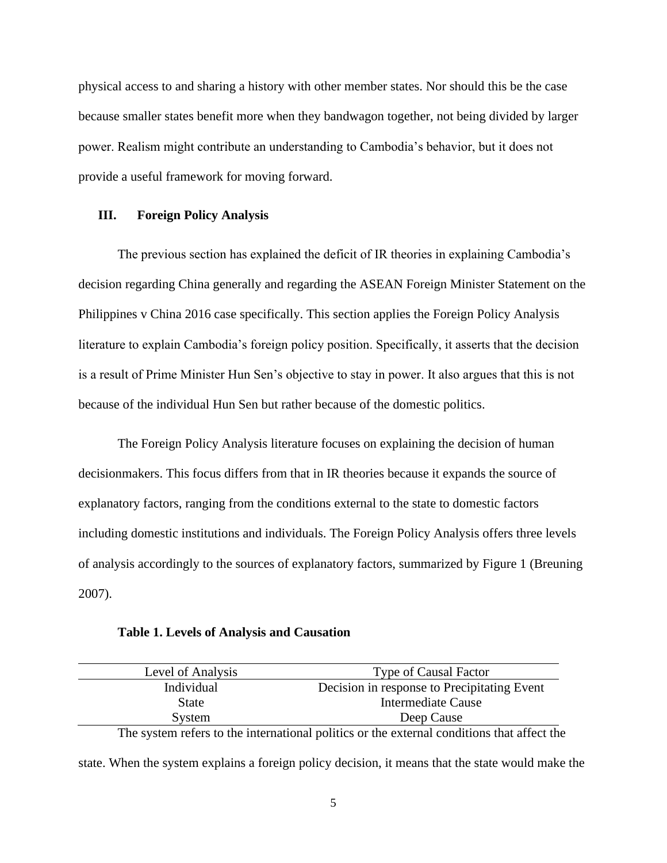physical access to and sharing a history with other member states. Nor should this be the case because smaller states benefit more when they bandwagon together, not being divided by larger power. Realism might contribute an understanding to Cambodia's behavior, but it does not provide a useful framework for moving forward.

## **III. Foreign Policy Analysis**

The previous section has explained the deficit of IR theories in explaining Cambodia's decision regarding China generally and regarding the ASEAN Foreign Minister Statement on the Philippines v China 2016 case specifically. This section applies the Foreign Policy Analysis literature to explain Cambodia's foreign policy position. Specifically, it asserts that the decision is a result of Prime Minister Hun Sen's objective to stay in power. It also argues that this is not because of the individual Hun Sen but rather because of the domestic politics.

The Foreign Policy Analysis literature focuses on explaining the decision of human decisionmakers. This focus differs from that in IR theories because it expands the source of explanatory factors, ranging from the conditions external to the state to domestic factors including domestic institutions and individuals. The Foreign Policy Analysis offers three levels of analysis accordingly to the sources of explanatory factors, summarized by Figure 1 (Breuning 2007).

**Table 1. Levels of Analysis and Causation**

| Level of Analysis | <b>Type of Causal Factor</b>                                                               |
|-------------------|--------------------------------------------------------------------------------------------|
| Individual        | Decision in response to Precipitating Event                                                |
| <b>State</b>      | Intermediate Cause                                                                         |
| System            | Deep Cause                                                                                 |
|                   | The system refers to the international politics or the external conditions that affect the |

state. When the system explains a foreign policy decision, it means that the state would make the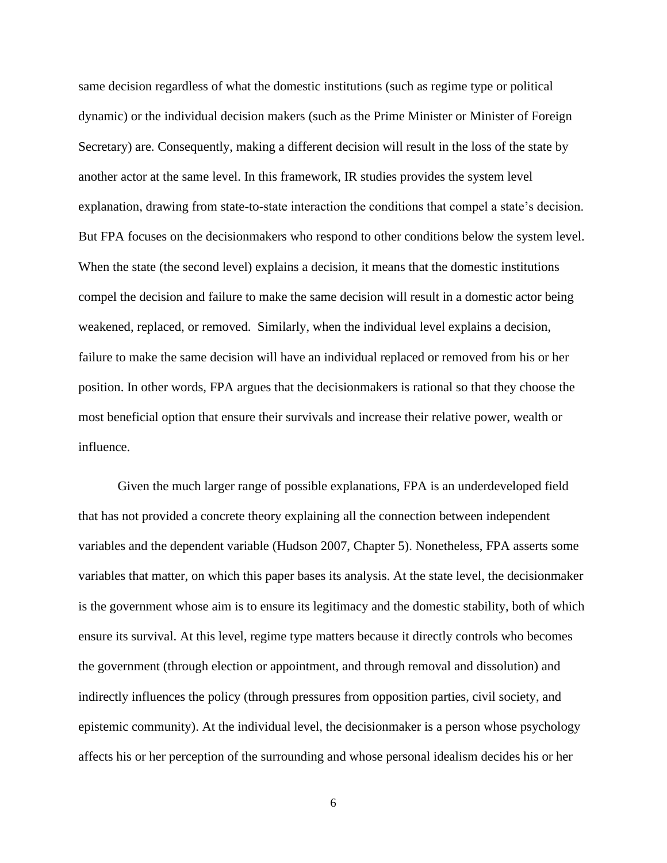same decision regardless of what the domestic institutions (such as regime type or political dynamic) or the individual decision makers (such as the Prime Minister or Minister of Foreign Secretary) are. Consequently, making a different decision will result in the loss of the state by another actor at the same level. In this framework, IR studies provides the system level explanation, drawing from state-to-state interaction the conditions that compel a state's decision. But FPA focuses on the decisionmakers who respond to other conditions below the system level. When the state (the second level) explains a decision, it means that the domestic institutions compel the decision and failure to make the same decision will result in a domestic actor being weakened, replaced, or removed. Similarly, when the individual level explains a decision, failure to make the same decision will have an individual replaced or removed from his or her position. In other words, FPA argues that the decisionmakers is rational so that they choose the most beneficial option that ensure their survivals and increase their relative power, wealth or influence.

Given the much larger range of possible explanations, FPA is an underdeveloped field that has not provided a concrete theory explaining all the connection between independent variables and the dependent variable (Hudson 2007, Chapter 5). Nonetheless, FPA asserts some variables that matter, on which this paper bases its analysis. At the state level, the decisionmaker is the government whose aim is to ensure its legitimacy and the domestic stability, both of which ensure its survival. At this level, regime type matters because it directly controls who becomes the government (through election or appointment, and through removal and dissolution) and indirectly influences the policy (through pressures from opposition parties, civil society, and epistemic community). At the individual level, the decisionmaker is a person whose psychology affects his or her perception of the surrounding and whose personal idealism decides his or her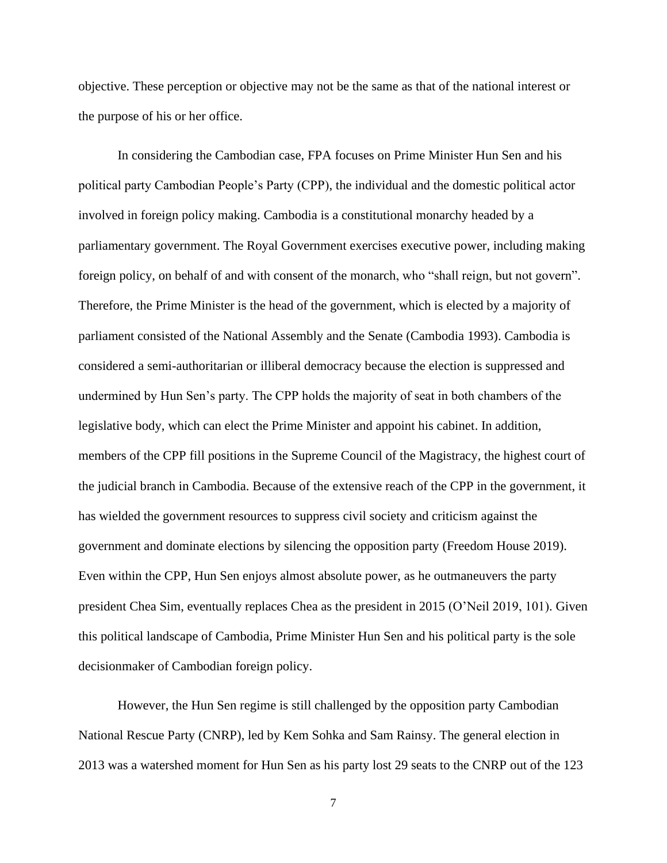objective. These perception or objective may not be the same as that of the national interest or the purpose of his or her office.

In considering the Cambodian case, FPA focuses on Prime Minister Hun Sen and his political party Cambodian People's Party (CPP), the individual and the domestic political actor involved in foreign policy making. Cambodia is a constitutional monarchy headed by a parliamentary government. The Royal Government exercises executive power, including making foreign policy, on behalf of and with consent of the monarch, who "shall reign, but not govern". Therefore, the Prime Minister is the head of the government, which is elected by a majority of parliament consisted of the National Assembly and the Senate (Cambodia 1993). Cambodia is considered a semi-authoritarian or illiberal democracy because the election is suppressed and undermined by Hun Sen's party. The CPP holds the majority of seat in both chambers of the legislative body, which can elect the Prime Minister and appoint his cabinet. In addition, members of the CPP fill positions in the Supreme Council of the Magistracy, the highest court of the judicial branch in Cambodia. Because of the extensive reach of the CPP in the government, it has wielded the government resources to suppress civil society and criticism against the government and dominate elections by silencing the opposition party (Freedom House 2019). Even within the CPP, Hun Sen enjoys almost absolute power, as he outmaneuvers the party president Chea Sim, eventually replaces Chea as the president in 2015 (O'Neil 2019, 101). Given this political landscape of Cambodia, Prime Minister Hun Sen and his political party is the sole decisionmaker of Cambodian foreign policy.

However, the Hun Sen regime is still challenged by the opposition party Cambodian National Rescue Party (CNRP), led by Kem Sohka and Sam Rainsy. The general election in 2013 was a watershed moment for Hun Sen as his party lost 29 seats to the CNRP out of the 123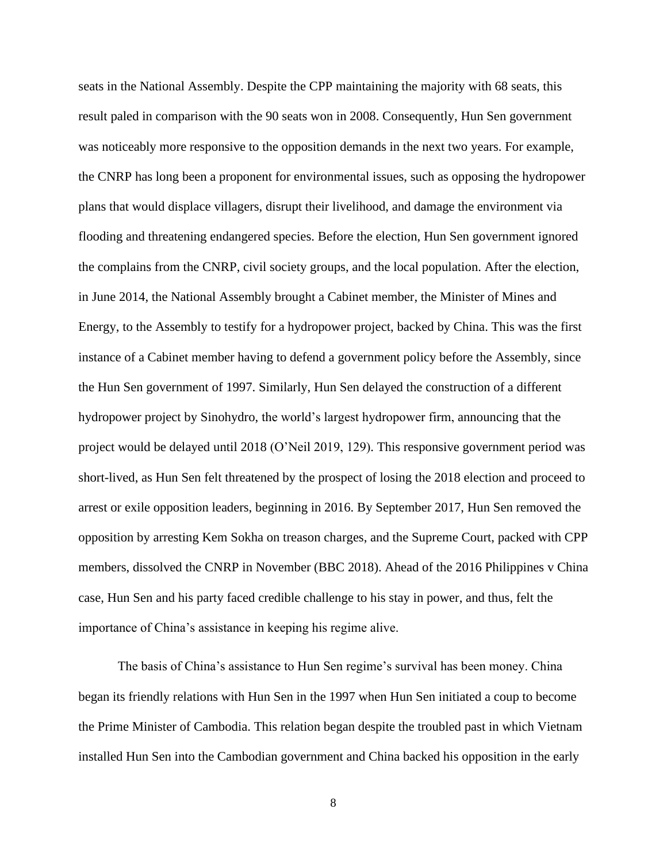seats in the National Assembly. Despite the CPP maintaining the majority with 68 seats, this result paled in comparison with the 90 seats won in 2008. Consequently, Hun Sen government was noticeably more responsive to the opposition demands in the next two years. For example, the CNRP has long been a proponent for environmental issues, such as opposing the hydropower plans that would displace villagers, disrupt their livelihood, and damage the environment via flooding and threatening endangered species. Before the election, Hun Sen government ignored the complains from the CNRP, civil society groups, and the local population. After the election, in June 2014, the National Assembly brought a Cabinet member, the Minister of Mines and Energy, to the Assembly to testify for a hydropower project, backed by China. This was the first instance of a Cabinet member having to defend a government policy before the Assembly, since the Hun Sen government of 1997. Similarly, Hun Sen delayed the construction of a different hydropower project by Sinohydro, the world's largest hydropower firm, announcing that the project would be delayed until 2018 (O'Neil 2019, 129). This responsive government period was short-lived, as Hun Sen felt threatened by the prospect of losing the 2018 election and proceed to arrest or exile opposition leaders, beginning in 2016. By September 2017, Hun Sen removed the opposition by arresting Kem Sokha on treason charges, and the Supreme Court, packed with CPP members, dissolved the CNRP in November (BBC 2018). Ahead of the 2016 Philippines v China case, Hun Sen and his party faced credible challenge to his stay in power, and thus, felt the importance of China's assistance in keeping his regime alive.

The basis of China's assistance to Hun Sen regime's survival has been money. China began its friendly relations with Hun Sen in the 1997 when Hun Sen initiated a coup to become the Prime Minister of Cambodia. This relation began despite the troubled past in which Vietnam installed Hun Sen into the Cambodian government and China backed his opposition in the early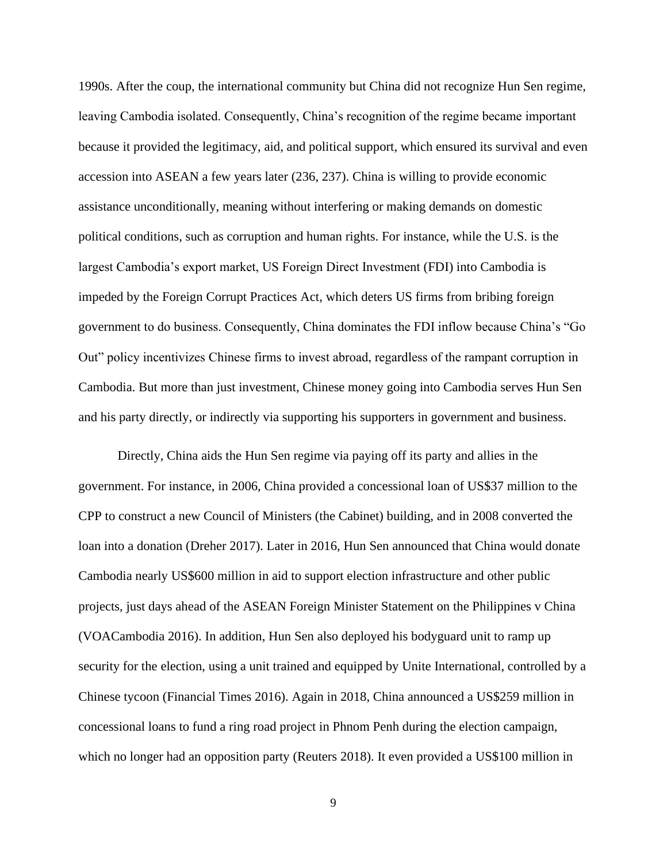1990s. After the coup, the international community but China did not recognize Hun Sen regime, leaving Cambodia isolated. Consequently, China's recognition of the regime became important because it provided the legitimacy, aid, and political support, which ensured its survival and even accession into ASEAN a few years later (236, 237). China is willing to provide economic assistance unconditionally, meaning without interfering or making demands on domestic political conditions, such as corruption and human rights. For instance, while the U.S. is the largest Cambodia's export market, US Foreign Direct Investment (FDI) into Cambodia is impeded by the Foreign Corrupt Practices Act, which deters US firms from bribing foreign government to do business. Consequently, China dominates the FDI inflow because China's "Go Out" policy incentivizes Chinese firms to invest abroad, regardless of the rampant corruption in Cambodia. But more than just investment, Chinese money going into Cambodia serves Hun Sen and his party directly, or indirectly via supporting his supporters in government and business.

Directly, China aids the Hun Sen regime via paying off its party and allies in the government. For instance, in 2006, China provided a concessional loan of US\$37 million to the CPP to construct a new Council of Ministers (the Cabinet) building, and in 2008 converted the loan into a donation (Dreher 2017). Later in 2016, Hun Sen announced that China would donate Cambodia nearly US\$600 million in aid to support election infrastructure and other public projects, just days ahead of the ASEAN Foreign Minister Statement on the Philippines v China (VOACambodia 2016). In addition, Hun Sen also deployed his bodyguard unit to ramp up security for the election, using a unit trained and equipped by Unite International, controlled by a Chinese tycoon (Financial Times 2016). Again in 2018, China announced a US\$259 million in concessional loans to fund a ring road project in Phnom Penh during the election campaign, which no longer had an opposition party (Reuters 2018). It even provided a US\$100 million in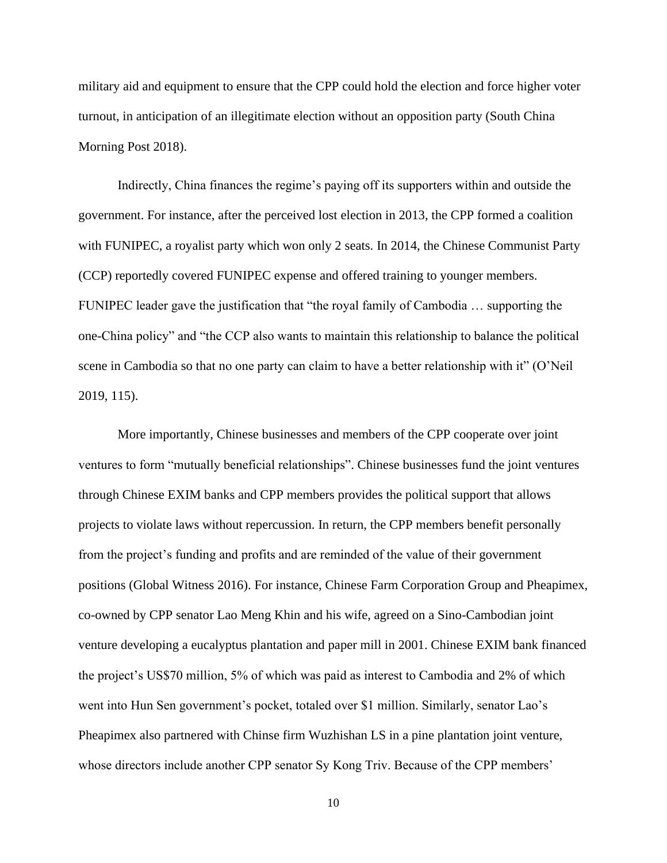military aid and equipment to ensure that the CPP could hold the election and force higher voter turnout, in anticipation of an illegitimate election without an opposition party (South China Morning Post 2018).

Indirectly, China finances the regime's paying off its supporters within and outside the government. For instance, after the perceived lost election in 2013, the CPP formed a coalition with FUNIPEC, a royalist party which won only 2 seats. In 2014, the Chinese Communist Party (CCP) reportedly covered FUNIPEC expense and offered training to younger members. FUNIPEC leader gave the justification that "the royal family of Cambodia … supporting the one-China policy" and "the CCP also wants to maintain this relationship to balance the political scene in Cambodia so that no one party can claim to have a better relationship with it" (O'Neil 2019, 115).

More importantly, Chinese businesses and members of the CPP cooperate over joint ventures to form "mutually beneficial relationships". Chinese businesses fund the joint ventures through Chinese EXIM banks and CPP members provides the political support that allows projects to violate laws without repercussion. In return, the CPP members benefit personally from the project's funding and profits and are reminded of the value of their government positions (Global Witness 2016). For instance, Chinese Farm Corporation Group and Pheapimex, co-owned by CPP senator Lao Meng Khin and his wife, agreed on a Sino-Cambodian joint venture developing a eucalyptus plantation and paper mill in 2001. Chinese EXIM bank financed the project's US\$70 million, 5% of which was paid as interest to Cambodia and 2% of which went into Hun Sen government's pocket, totaled over \$1 million. Similarly, senator Lao's Pheapimex also partnered with Chinse firm Wuzhishan LS in a pine plantation joint venture, whose directors include another CPP senator Sy Kong Triv. Because of the CPP members'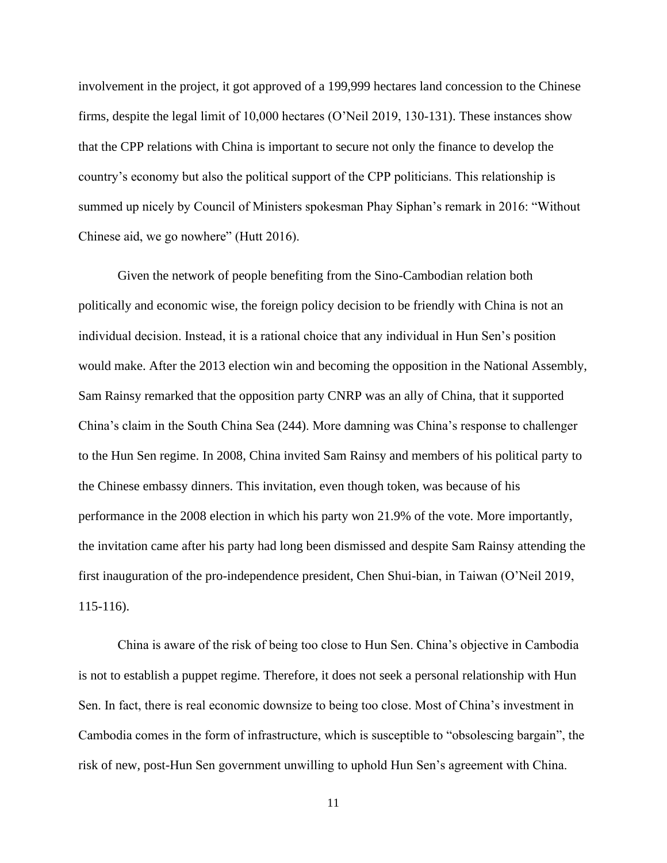involvement in the project, it got approved of a 199,999 hectares land concession to the Chinese firms, despite the legal limit of 10,000 hectares (O'Neil 2019, 130-131). These instances show that the CPP relations with China is important to secure not only the finance to develop the country's economy but also the political support of the CPP politicians. This relationship is summed up nicely by Council of Ministers spokesman Phay Siphan's remark in 2016: "Without Chinese aid, we go nowhere" (Hutt 2016).

Given the network of people benefiting from the Sino-Cambodian relation both politically and economic wise, the foreign policy decision to be friendly with China is not an individual decision. Instead, it is a rational choice that any individual in Hun Sen's position would make. After the 2013 election win and becoming the opposition in the National Assembly, Sam Rainsy remarked that the opposition party CNRP was an ally of China, that it supported China's claim in the South China Sea (244). More damning was China's response to challenger to the Hun Sen regime. In 2008, China invited Sam Rainsy and members of his political party to the Chinese embassy dinners. This invitation, even though token, was because of his performance in the 2008 election in which his party won 21.9% of the vote. More importantly, the invitation came after his party had long been dismissed and despite Sam Rainsy attending the first inauguration of the pro-independence president, Chen Shui-bian, in Taiwan (O'Neil 2019, 115-116).

China is aware of the risk of being too close to Hun Sen. China's objective in Cambodia is not to establish a puppet regime. Therefore, it does not seek a personal relationship with Hun Sen. In fact, there is real economic downsize to being too close. Most of China's investment in Cambodia comes in the form of infrastructure, which is susceptible to "obsolescing bargain", the risk of new, post-Hun Sen government unwilling to uphold Hun Sen's agreement with China.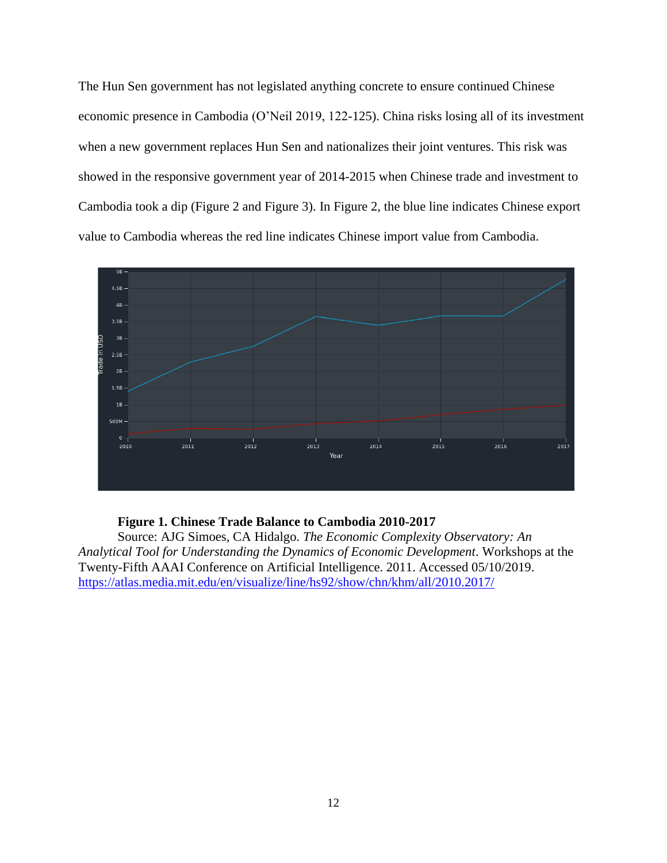The Hun Sen government has not legislated anything concrete to ensure continued Chinese economic presence in Cambodia (O'Neil 2019, 122-125). China risks losing all of its investment when a new government replaces Hun Sen and nationalizes their joint ventures. This risk was showed in the responsive government year of 2014-2015 when Chinese trade and investment to Cambodia took a dip (Figure 2 and Figure 3). In Figure 2, the blue line indicates Chinese export value to Cambodia whereas the red line indicates Chinese import value from Cambodia.



## **Figure 1. Chinese Trade Balance to Cambodia 2010-2017**

Source: AJG Simoes, CA Hidalgo. *The Economic Complexity Observatory: An Analytical Tool for Understanding the Dynamics of Economic Development*. Workshops at the Twenty-Fifth AAAI Conference on Artificial Intelligence. 2011. Accessed 05/10/2019. <https://atlas.media.mit.edu/en/visualize/line/hs92/show/chn/khm/all/2010.2017/>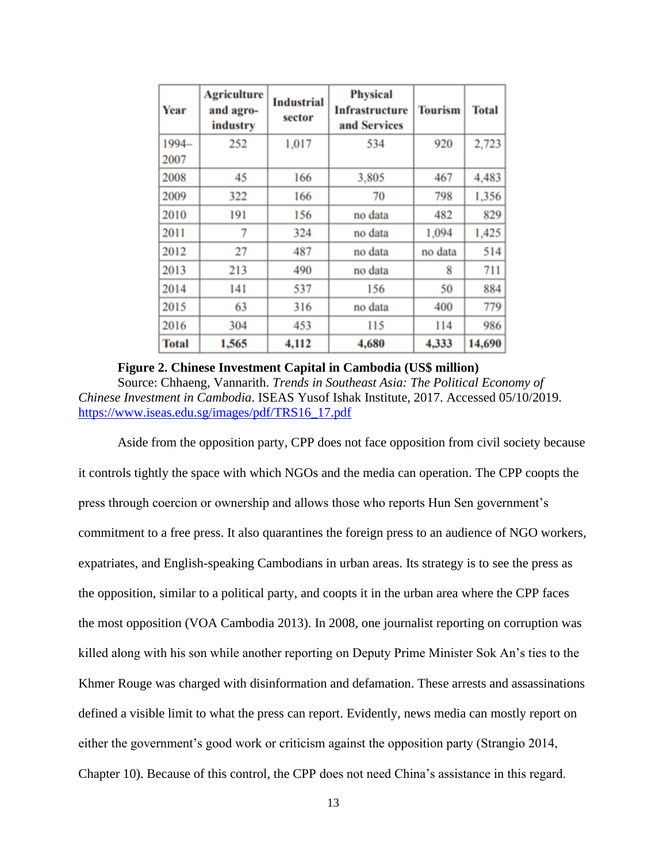| Year         | <b>Agriculture</b><br>and agro-<br>industry | <b>Industrial</b><br>sector | <b>Physical</b><br>Infrastructure<br>and Services | <b>Tourism</b> | <b>Total</b> |
|--------------|---------------------------------------------|-----------------------------|---------------------------------------------------|----------------|--------------|
| 1994-        | 252                                         | 1,017                       | 534                                               | 920            | 2,723        |
| 2007         |                                             |                             |                                                   |                |              |
| 2008         | 45                                          | 166                         | 3,805                                             | 467            | 4,483        |
| 2009         | 322                                         | 166                         | 70                                                | 798            | 1,356        |
| 2010         | 191                                         | 156                         | no data                                           | 482            | 829          |
| 2011         | 7                                           | 324                         | no data                                           | 1,094          | 1,425        |
| 2012         | 27                                          | 487                         | no data                                           | no data        | 514          |
| 2013         | 213                                         | 490                         | no data                                           | 8              | 711          |
| 2014         | 141                                         | 537                         | 156                                               | 50             | 884          |
| 2015         | 63                                          | 316                         | no data                                           | 400            | 779          |
| 2016         | 304                                         | 453                         | 115                                               | 114            | 986          |
| <b>Total</b> | 1,565                                       | 4,112                       | 4,680                                             | 4,333          | 14,690       |

### **Figure 2. Chinese Investment Capital in Cambodia (US\$ million)**

Source: Chhaeng, Vannarith. *Trends in Southeast Asia: The Political Economy of Chinese Investment in Cambodia*. ISEAS Yusof Ishak Institute, 2017. Accessed 05/10/2019. [https://www.iseas.edu.sg/images/pdf/TRS16\\_17.pdf](https://www.iseas.edu.sg/images/pdf/TRS16_17.pdf)

Aside from the opposition party, CPP does not face opposition from civil society because it controls tightly the space with which NGOs and the media can operation. The CPP coopts the press through coercion or ownership and allows those who reports Hun Sen government's commitment to a free press. It also quarantines the foreign press to an audience of NGO workers, expatriates, and English-speaking Cambodians in urban areas. Its strategy is to see the press as the opposition, similar to a political party, and coopts it in the urban area where the CPP faces the most opposition (VOA Cambodia 2013). In 2008, one journalist reporting on corruption was killed along with his son while another reporting on Deputy Prime Minister Sok An's ties to the Khmer Rouge was charged with disinformation and defamation. These arrests and assassinations defined a visible limit to what the press can report. Evidently, news media can mostly report on either the government's good work or criticism against the opposition party (Strangio 2014, Chapter 10). Because of this control, the CPP does not need China's assistance in this regard.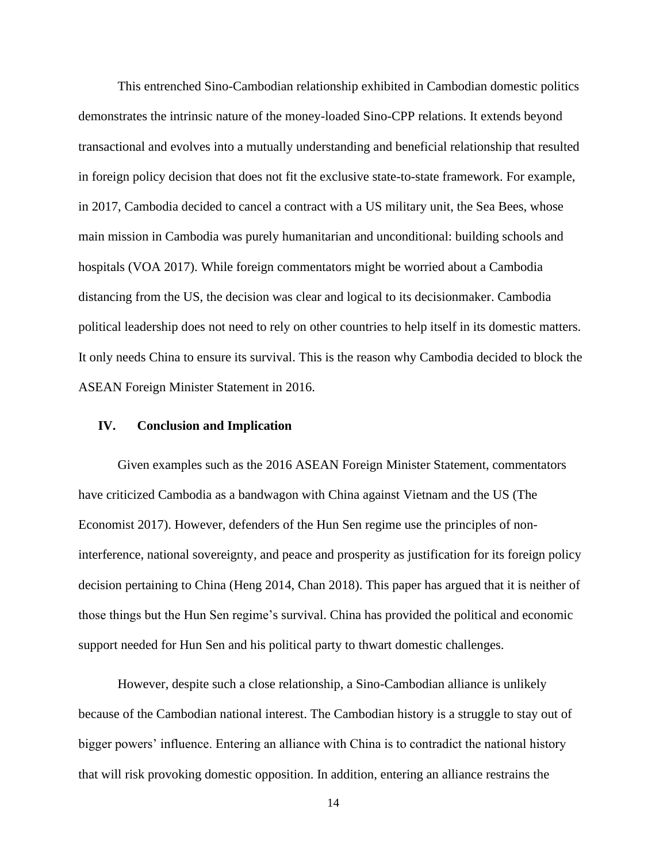This entrenched Sino-Cambodian relationship exhibited in Cambodian domestic politics demonstrates the intrinsic nature of the money-loaded Sino-CPP relations. It extends beyond transactional and evolves into a mutually understanding and beneficial relationship that resulted in foreign policy decision that does not fit the exclusive state-to-state framework. For example, in 2017, Cambodia decided to cancel a contract with a US military unit, the Sea Bees, whose main mission in Cambodia was purely humanitarian and unconditional: building schools and hospitals (VOA 2017). While foreign commentators might be worried about a Cambodia distancing from the US, the decision was clear and logical to its decisionmaker. Cambodia political leadership does not need to rely on other countries to help itself in its domestic matters. It only needs China to ensure its survival. This is the reason why Cambodia decided to block the ASEAN Foreign Minister Statement in 2016.

## **IV. Conclusion and Implication**

Given examples such as the 2016 ASEAN Foreign Minister Statement, commentators have criticized Cambodia as a bandwagon with China against Vietnam and the US (The Economist 2017). However, defenders of the Hun Sen regime use the principles of noninterference, national sovereignty, and peace and prosperity as justification for its foreign policy decision pertaining to China (Heng 2014, Chan 2018). This paper has argued that it is neither of those things but the Hun Sen regime's survival. China has provided the political and economic support needed for Hun Sen and his political party to thwart domestic challenges.

However, despite such a close relationship, a Sino-Cambodian alliance is unlikely because of the Cambodian national interest. The Cambodian history is a struggle to stay out of bigger powers' influence. Entering an alliance with China is to contradict the national history that will risk provoking domestic opposition. In addition, entering an alliance restrains the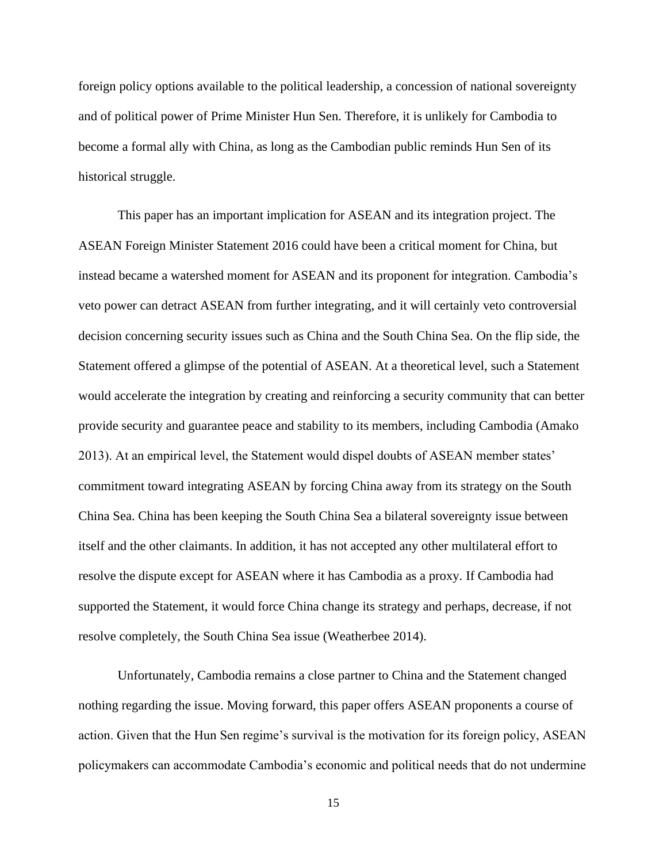foreign policy options available to the political leadership, a concession of national sovereignty and of political power of Prime Minister Hun Sen. Therefore, it is unlikely for Cambodia to become a formal ally with China, as long as the Cambodian public reminds Hun Sen of its historical struggle.

This paper has an important implication for ASEAN and its integration project. The ASEAN Foreign Minister Statement 2016 could have been a critical moment for China, but instead became a watershed moment for ASEAN and its proponent for integration. Cambodia's veto power can detract ASEAN from further integrating, and it will certainly veto controversial decision concerning security issues such as China and the South China Sea. On the flip side, the Statement offered a glimpse of the potential of ASEAN. At a theoretical level, such a Statement would accelerate the integration by creating and reinforcing a security community that can better provide security and guarantee peace and stability to its members, including Cambodia (Amako 2013). At an empirical level, the Statement would dispel doubts of ASEAN member states' commitment toward integrating ASEAN by forcing China away from its strategy on the South China Sea. China has been keeping the South China Sea a bilateral sovereignty issue between itself and the other claimants. In addition, it has not accepted any other multilateral effort to resolve the dispute except for ASEAN where it has Cambodia as a proxy. If Cambodia had supported the Statement, it would force China change its strategy and perhaps, decrease, if not resolve completely, the South China Sea issue (Weatherbee 2014).

Unfortunately, Cambodia remains a close partner to China and the Statement changed nothing regarding the issue. Moving forward, this paper offers ASEAN proponents a course of action. Given that the Hun Sen regime's survival is the motivation for its foreign policy, ASEAN policymakers can accommodate Cambodia's economic and political needs that do not undermine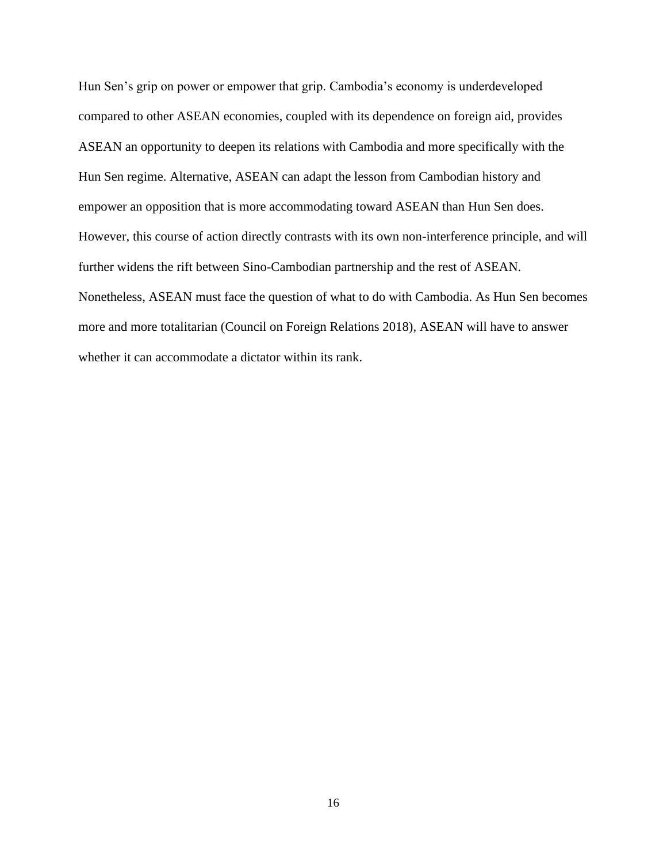Hun Sen's grip on power or empower that grip. Cambodia's economy is underdeveloped compared to other ASEAN economies, coupled with its dependence on foreign aid, provides ASEAN an opportunity to deepen its relations with Cambodia and more specifically with the Hun Sen regime. Alternative, ASEAN can adapt the lesson from Cambodian history and empower an opposition that is more accommodating toward ASEAN than Hun Sen does. However, this course of action directly contrasts with its own non-interference principle, and will further widens the rift between Sino-Cambodian partnership and the rest of ASEAN. Nonetheless, ASEAN must face the question of what to do with Cambodia. As Hun Sen becomes more and more totalitarian (Council on Foreign Relations 2018), ASEAN will have to answer whether it can accommodate a dictator within its rank.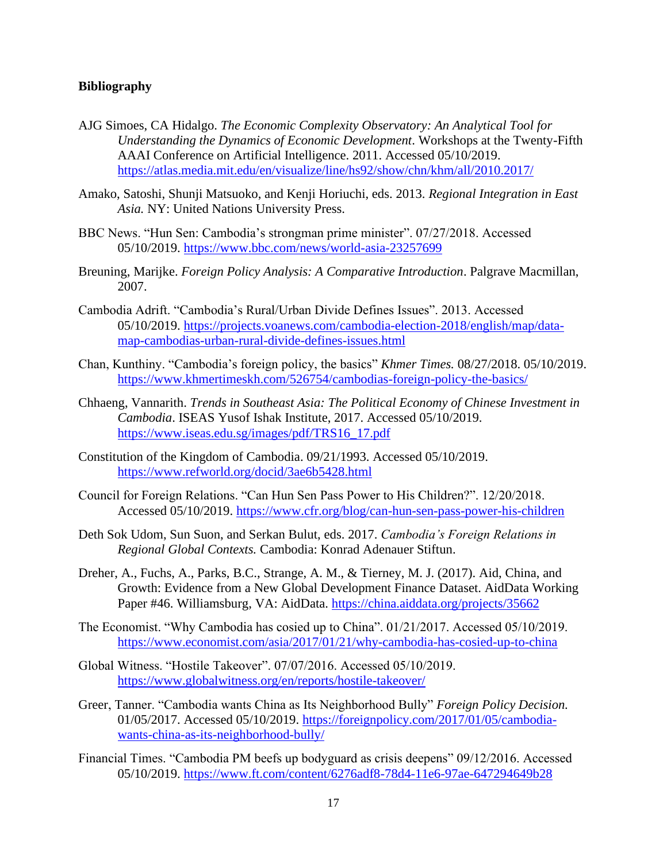## **Bibliography**

- AJG Simoes, CA Hidalgo. *The Economic Complexity Observatory: An Analytical Tool for Understanding the Dynamics of Economic Development*. Workshops at the Twenty-Fifth AAAI Conference on Artificial Intelligence. 2011. Accessed 05/10/2019. <https://atlas.media.mit.edu/en/visualize/line/hs92/show/chn/khm/all/2010.2017/>
- Amako, Satoshi, Shunji Matsuoko, and Kenji Horiuchi, eds. 2013. *Regional Integration in East Asia.* NY: United Nations University Press.
- BBC News. "Hun Sen: Cambodia's strongman prime minister". 07/27/2018. Accessed 05/10/2019.<https://www.bbc.com/news/world-asia-23257699>
- Breuning, Marijke. *Foreign Policy Analysis: A Comparative Introduction*. Palgrave Macmillan, 2007.
- Cambodia Adrift. "Cambodia's Rural/Urban Divide Defines Issues". 2013. Accessed 05/10/2019. [https://projects.voanews.com/cambodia-election-2018/english/map/data](https://projects.voanews.com/cambodia-election-2018/english/map/data-map-cambodias-urban-rural-divide-defines-issues.html)[map-cambodias-urban-rural-divide-defines-issues.html](https://projects.voanews.com/cambodia-election-2018/english/map/data-map-cambodias-urban-rural-divide-defines-issues.html)
- Chan, Kunthiny. "Cambodia's foreign policy, the basics" *Khmer Times.* 08/27/2018. 05/10/2019. <https://www.khmertimeskh.com/526754/cambodias-foreign-policy-the-basics/>
- Chhaeng, Vannarith. *Trends in Southeast Asia: The Political Economy of Chinese Investment in Cambodia*. ISEAS Yusof Ishak Institute, 2017. Accessed 05/10/2019. [https://www.iseas.edu.sg/images/pdf/TRS16\\_17.pdf](https://www.iseas.edu.sg/images/pdf/TRS16_17.pdf)
- Constitution of the Kingdom of Cambodia. 09/21/1993. Accessed 05/10/2019. <https://www.refworld.org/docid/3ae6b5428.html>
- Council for Foreign Relations. "Can Hun Sen Pass Power to His Children?". 12/20/2018. Accessed 05/10/2019.<https://www.cfr.org/blog/can-hun-sen-pass-power-his-children>
- Deth Sok Udom, Sun Suon, and Serkan Bulut, eds. 2017. *Cambodia's Foreign Relations in Regional Global Contexts.* Cambodia: Konrad Adenauer Stiftun.
- Dreher, A., Fuchs, A., Parks, B.C., Strange, A. M., & Tierney, M. J. (2017). Aid, China, and Growth: Evidence from a New Global Development Finance Dataset. AidData Working Paper #46. Williamsburg, VA: AidData.<https://china.aiddata.org/projects/35662>
- The Economist. "Why Cambodia has cosied up to China". 01/21/2017. Accessed 05/10/2019. <https://www.economist.com/asia/2017/01/21/why-cambodia-has-cosied-up-to-china>
- Global Witness. "Hostile Takeover". 07/07/2016. Accessed 05/10/2019. <https://www.globalwitness.org/en/reports/hostile-takeover/>
- Greer, Tanner. "Cambodia wants China as Its Neighborhood Bully" *Foreign Policy Decision.* 01/05/2017. Accessed 05/10/2019. [https://foreignpolicy.com/2017/01/05/cambodia](https://foreignpolicy.com/2017/01/05/cambodia-wants-china-as-its-neighborhood-bully/)[wants-china-as-its-neighborhood-bully/](https://foreignpolicy.com/2017/01/05/cambodia-wants-china-as-its-neighborhood-bully/)
- Financial Times. "Cambodia PM beefs up bodyguard as crisis deepens" 09/12/2016. Accessed 05/10/2019.<https://www.ft.com/content/6276adf8-78d4-11e6-97ae-647294649b28>